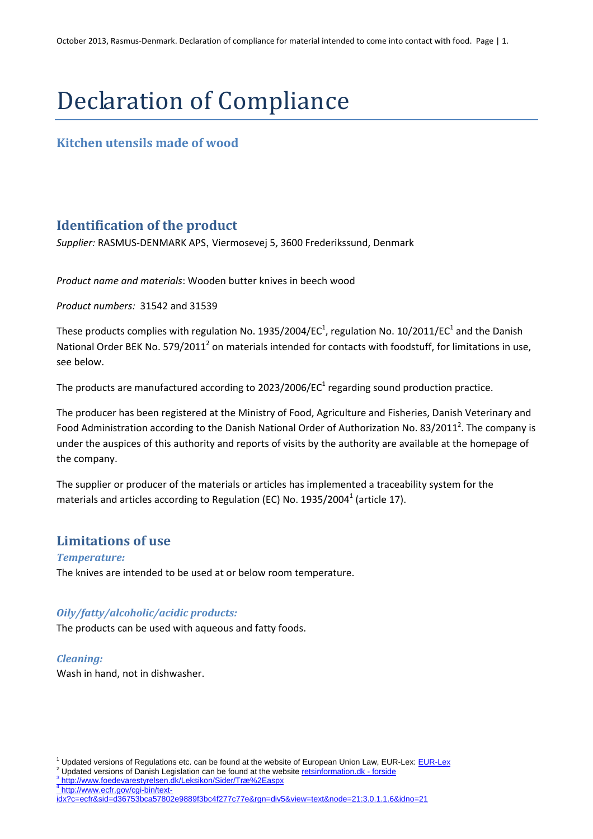# Declaration of Compliance

### **Kitchen utensils made of wood**

## **Identification of the product**

*Supplier:* RASMUS‐DENMARK APS, Viermosevej 5, 3600 Frederikssund, Denmark

*Product name and materials*: Wooden butter knives in beech wood

*Product numbers:* 31542 and 31539

These products complies with regulation No. 1935/2004/EC $^1$ , regulation No. 10/2011/EC $^1$  and the Danish National Order BEK No. 579/2011<sup>2</sup> on materials intended for contacts with foodstuff, for limitations in use, see below.

The products are manufactured according to  $2023/2006$ /EC<sup>1</sup> regarding sound production practice.

The producer has been registered at the Ministry of Food, Agriculture and Fisheries, Danish Veterinary and Food Administration according to the Danish National Order of Authorization No. 83/2011<sup>2</sup>. The company is under the auspices of this authority and reports of visits by the authority are available at the homepage of the company.

The supplier or producer of the materials or articles has implemented a traceability system for the materials and articles according to Regulation (EC) No.  $1935/2004^1$  (article 17).

## **Limitations of use**

*Temperature:* The knives are intended to be used at or below room temperature.

#### *Oily/fatty/alcoholic/acidic products:*

The products can be used with aqueous and fatty foods.

#### *Cleaning:*

Wash in hand, not in dishwasher.

<sup>3</sup> http://www.foedevarestyrelsen.dk/Leksikon/Sider/Træ%2Easpx<br><sup>4</sup> http://www.ecfr.gov/cgi-bin/text-

idx?c=ecfr&sid=d36753bca57802e9889f3bc4f277c77e&rgn=div5&view=text&node=21:3.0.1.1.6&idno=21

Publated versions of Danish Legislation can be found at the website retsinformation.dk - forside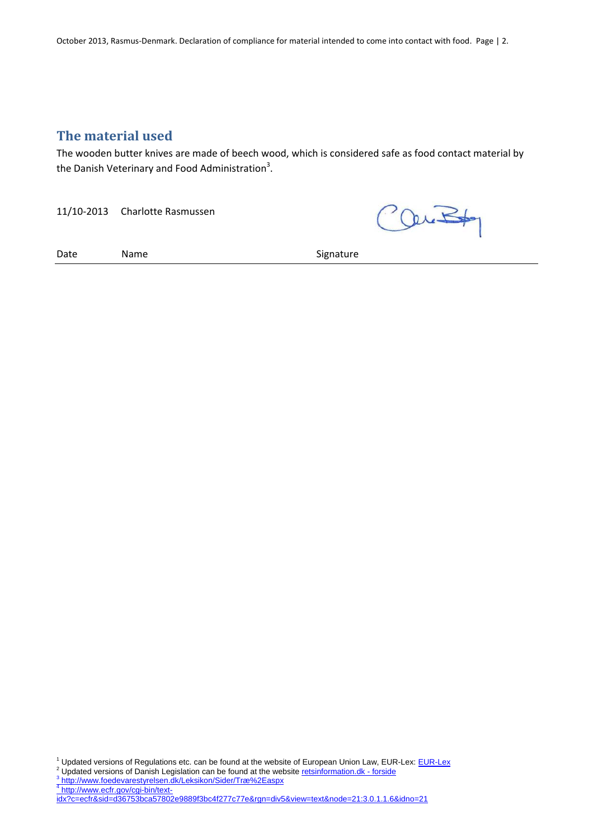October 2013, Rasmus-Denmark. Declaration of compliance for material intended to come into contact with food. Page | 2.

## **The material used**

The wooden butter knives are made of beech wood, which is considered safe as food contact material by the Danish Veterinary and Food Administration<sup>3</sup>.

11/10-2013 Charlotte Rasmussen

Outs

Date Name Name Signature

<sup>1</sup> Updated versions of Regulations etc. can be found at the website of European Union Law, EUR-Lex: **EUR-Lex**<br><sup>2</sup> Undated versions of Danish Lagislation can be found at the website retainformation dky foreide

<sup>2</sup> Updated versions of Danish Legislation can be found at the website <u>retsinformation.dk - forside</u><br>3 <u>http://www.foedevarestyrelsen.dk/Leksikon/Sider/Træ%2Easpx</u><br><sup>4</sup> http://www.ecfr.gov/cgi-bin/text-

idx?c=ecfr&sid=d36753bca57802e9889f3bc4f277c77e&rgn=div5&view=text&node=21:3.0.1.1.6&idno=21